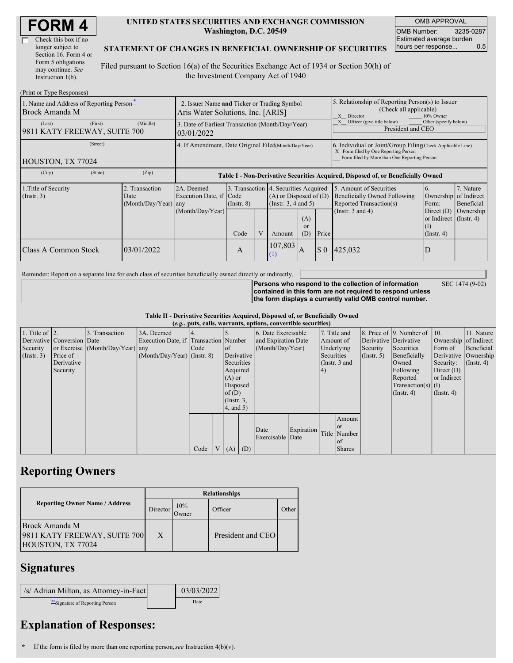| <b>FORM4</b> |
|--------------|
|--------------|

| Check this box if no  |
|-----------------------|
| longer subject to     |
| Section 16. Form 4 or |
| Form 5 obligations    |
| may continue. See     |
| Instruction $1(b)$ .  |

#### **UNITED STATES SECURITIES AND EXCHANGE COMMISSION Washington, D.C. 20549**

OMB APPROVAL OMB Number: 3235-0287 Estimated average burden hours per response... 0.5

### **STATEMENT OF CHANGES IN BENEFICIAL OWNERSHIP OF SECURITIES**

Filed pursuant to Section 16(a) of the Securities Exchange Act of 1934 or Section 30(h) of the Investment Company Act of 1940

| (Print or Type Responses)                                  |                                                                                  |                                                |                                                                                  |                                                                                                                                                                                                            |   |                                                                                                          |                                                                                                       |                                                                          |                                                                                                                    |                                                                                             |                                      |
|------------------------------------------------------------|----------------------------------------------------------------------------------|------------------------------------------------|----------------------------------------------------------------------------------|------------------------------------------------------------------------------------------------------------------------------------------------------------------------------------------------------------|---|----------------------------------------------------------------------------------------------------------|-------------------------------------------------------------------------------------------------------|--------------------------------------------------------------------------|--------------------------------------------------------------------------------------------------------------------|---------------------------------------------------------------------------------------------|--------------------------------------|
| 1. Name and Address of Reporting Person*<br>Brock Amanda M | 2. Issuer Name and Ticker or Trading Symbol<br>Aris Water Solutions, Inc. [ARIS] |                                                |                                                                                  |                                                                                                                                                                                                            |   |                                                                                                          | 5. Relationship of Reporting Person(s) to Issuer<br>(Check all applicable)<br>X Director<br>10% Owner |                                                                          |                                                                                                                    |                                                                                             |                                      |
| (Last)<br>9811 KATY FREEWAY, SUITE 700                     | (First)                                                                          | (Middle)                                       | 3. Date of Earliest Transaction (Month/Day/Year)<br>03/01/2022                   |                                                                                                                                                                                                            |   |                                                                                                          |                                                                                                       | Officer (give title below)<br>Other (specify below)<br>President and CEO |                                                                                                                    |                                                                                             |                                      |
| (Street)<br>HOUSTON, TX 77024                              |                                                                                  |                                                |                                                                                  | 4. If Amendment, Date Original Filed(Month/Day/Year)<br>6. Individual or Joint/Group Filing Check Applicable Line)<br>X Form filed by One Reporting Person<br>Form filed by More than One Reporting Person |   |                                                                                                          |                                                                                                       |                                                                          |                                                                                                                    |                                                                                             |                                      |
| (City)                                                     | (State)                                                                          | (Zip)                                          | Table I - Non-Derivative Securities Acquired, Disposed of, or Beneficially Owned |                                                                                                                                                                                                            |   |                                                                                                          |                                                                                                       |                                                                          |                                                                                                                    |                                                                                             |                                      |
| 1. Title of Security<br>$($ Instr. 3 $)$                   |                                                                                  | 2. Transaction<br>Date<br>(Month/Day/Year) any | 2A. Deemed<br>Execution Date, if Code<br>(Month/Day/Year)                        | $($ Instr. $8)$<br>Code                                                                                                                                                                                    | V | 3. Transaction 4. Securities Acquired<br>$(A)$ or Disposed of $(D)$<br>(Insert. 3, 4 and 5)<br>(A)<br>or |                                                                                                       |                                                                          | 5. Amount of Securities<br><b>Beneficially Owned Following</b><br>Reported Transaction(s)<br>(Instr. $3$ and $4$ ) | 6.<br>Ownership of Indirect<br>Form:<br>Direct $(D)$<br>or Indirect $($ Instr. 4 $)$<br>(I) | 7. Nature<br>Beneficial<br>Ownership |
|                                                            |                                                                                  |                                                |                                                                                  |                                                                                                                                                                                                            |   | Amount                                                                                                   | (D)                                                                                                   | Price                                                                    |                                                                                                                    | $($ Instr. 4 $)$                                                                            |                                      |
| Class A Common Stock                                       |                                                                                  | 03/01/2022                                     |                                                                                  | A                                                                                                                                                                                                          |   | 107,803<br>$\Omega$                                                                                      | $\overline{A}$                                                                                        | $\boldsymbol{\mathsf{S}}$ 0                                              | 425,032                                                                                                            | D                                                                                           |                                      |

Reminder: Report on a separate line for each class of securities beneficially owned directly or indirectly.

SEC 1474 (9-02)

**Persons who respond to the collection of information contained in this form are not required to respond unless the form displays a currently valid OMB control number.**

|  |  |  | Table II - Derivative Securities Acquired, Disposed of, or Beneficially Owned |  |
|--|--|--|-------------------------------------------------------------------------------|--|
|  |  |  |                                                                               |  |

| (e.g., puts, calls, warrants, options, convertible securities) |                            |                                  |                                       |      |  |                 |  |                     |            |               |               |                  |                              |                       |                      |
|----------------------------------------------------------------|----------------------------|----------------------------------|---------------------------------------|------|--|-----------------|--|---------------------|------------|---------------|---------------|------------------|------------------------------|-----------------------|----------------------|
| 1. Title of $\vert$ 2.                                         |                            | 3. Transaction                   | 3A. Deemed                            |      |  |                 |  | 6. Date Exercisable |            |               | 7. Title and  |                  | 8. Price of 9. Number of 10. |                       | 11. Nature           |
|                                                                | Derivative Conversion Date |                                  | Execution Date, if Transaction Number |      |  |                 |  | and Expiration Date |            | Amount of     |               |                  | Derivative Derivative        | Ownership of Indirect |                      |
| Security                                                       |                            | or Exercise (Month/Day/Year) any |                                       | Code |  | <sub>of</sub>   |  | (Month/Day/Year)    |            | Underlying    |               | Security         | Securities                   | Form of               | Beneficial           |
| (Insert. 3)                                                    | Price of                   |                                  | $(Month/Day/Year)$ (Instr. 8)         |      |  | Derivative      |  |                     |            | Securities    |               | $($ Instr. 5 $)$ | Beneficially                 |                       | Derivative Ownership |
|                                                                | Derivative                 |                                  |                                       |      |  | Securities      |  |                     |            | (Instr. 3 and |               |                  | Owned                        | Security:             | $($ Instr. 4)        |
|                                                                | Security                   |                                  |                                       |      |  | Acquired        |  |                     |            | 4)            |               |                  | Following                    | Direct $(D)$          |                      |
|                                                                |                            |                                  |                                       |      |  | $(A)$ or        |  |                     |            |               |               |                  | Reported                     | or Indirect           |                      |
|                                                                |                            |                                  |                                       |      |  | Disposed        |  |                     |            |               |               |                  | $Transaction(s)$ (I)         |                       |                      |
|                                                                |                            |                                  |                                       |      |  | of $(D)$        |  |                     |            |               |               |                  | $($ Instr. 4 $)$             | $($ Instr. 4 $)$      |                      |
|                                                                |                            |                                  |                                       |      |  | $($ Instr. $3,$ |  |                     |            |               |               |                  |                              |                       |                      |
|                                                                |                            |                                  |                                       |      |  | 4, and 5)       |  |                     |            |               |               |                  |                              |                       |                      |
|                                                                |                            |                                  |                                       |      |  |                 |  |                     |            |               | Amount        |                  |                              |                       |                      |
|                                                                |                            |                                  |                                       |      |  |                 |  | Date                | Expiration |               | l or          |                  |                              |                       |                      |
|                                                                |                            |                                  |                                       |      |  |                 |  | Exercisable Date    |            |               | Title Number  |                  |                              |                       |                      |
|                                                                |                            |                                  |                                       |      |  |                 |  |                     |            |               | <sub>of</sub> |                  |                              |                       |                      |
|                                                                |                            |                                  |                                       | Code |  | $V(A)$ (D)      |  |                     |            |               | <b>Shares</b> |                  |                              |                       |                      |

## **Reporting Owners**

|                                                                     | <b>Relationships</b> |              |                   |              |  |  |  |  |
|---------------------------------------------------------------------|----------------------|--------------|-------------------|--------------|--|--|--|--|
| <b>Reporting Owner Name / Address</b>                               | Director             | 10%<br>Owner | Officer           | <b>Other</b> |  |  |  |  |
| Brock Amanda M<br>9811 KATY FREEWAY, SUITE 700<br>HOUSTON, TX 77024 | X                    |              | President and CEO |              |  |  |  |  |

### **Signatures**

| /s/ Adrian Milton, as Attorney-in-Fact | 03/03/2022 |
|----------------------------------------|------------|
| Signature of Reporting Person          | Date       |

# **Explanation of Responses:**

**\*** If the form is filed by more than one reporting person,*see* Instruction 4(b)(v).